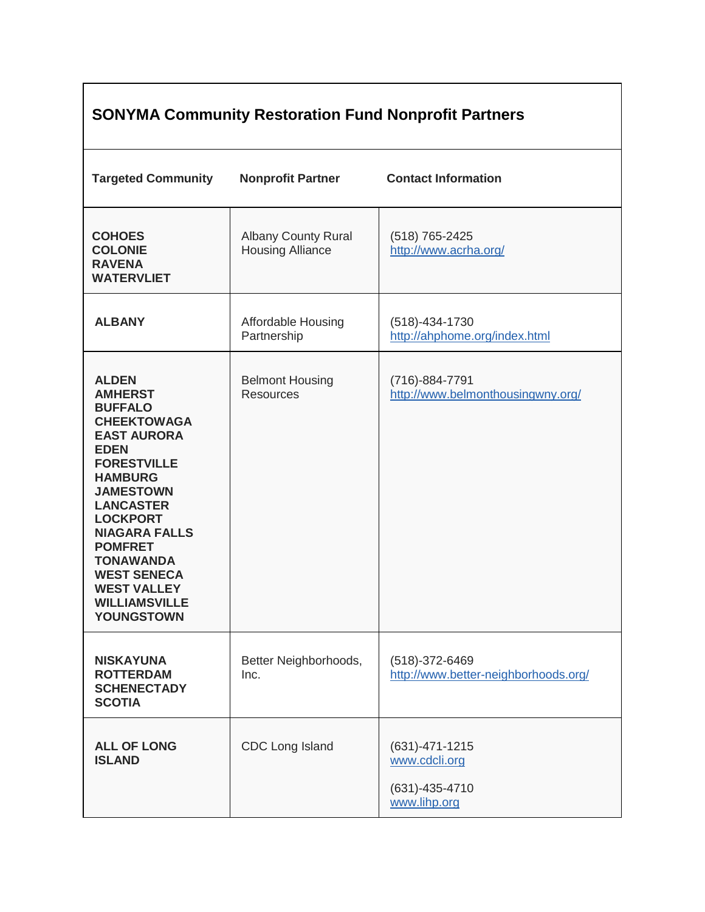| <b>SONYMA Community Restoration Fund Nonprofit Partners</b>                                                                                                                                                                                                                                                                                                           |                                                       |                                                                               |  |  |
|-----------------------------------------------------------------------------------------------------------------------------------------------------------------------------------------------------------------------------------------------------------------------------------------------------------------------------------------------------------------------|-------------------------------------------------------|-------------------------------------------------------------------------------|--|--|
| <b>Targeted Community</b>                                                                                                                                                                                                                                                                                                                                             | <b>Nonprofit Partner</b>                              | <b>Contact Information</b>                                                    |  |  |
| <b>COHOES</b><br><b>COLONIE</b><br><b>RAVENA</b><br><b>WATERVLIET</b>                                                                                                                                                                                                                                                                                                 | <b>Albany County Rural</b><br><b>Housing Alliance</b> | (518) 765-2425<br>http://www.acrha.org/                                       |  |  |
| <b>ALBANY</b>                                                                                                                                                                                                                                                                                                                                                         | Affordable Housing<br>Partnership                     | $(518)-434-1730$<br>http://ahphome.org/index.html                             |  |  |
| <b>ALDEN</b><br><b>AMHERST</b><br><b>BUFFALO</b><br><b>CHEEKTOWAGA</b><br><b>EAST AURORA</b><br><b>EDEN</b><br><b>FORESTVILLE</b><br><b>HAMBURG</b><br><b>JAMESTOWN</b><br><b>LANCASTER</b><br><b>LOCKPORT</b><br><b>NIAGARA FALLS</b><br><b>POMFRET</b><br><b>TONAWANDA</b><br><b>WEST SENECA</b><br><b>WEST VALLEY</b><br><b>WILLIAMSVILLE</b><br><b>YOUNGSTOWN</b> | <b>Belmont Housing</b><br><b>Resources</b>            | (716)-884-7791<br>http://www.belmonthousingwny.org/                           |  |  |
| <b>NISKAYUNA</b><br><b>ROTTERDAM</b><br><b>SCHENECTADY</b><br><b>SCOTIA</b>                                                                                                                                                                                                                                                                                           | Better Neighborhoods,<br>Inc.                         | (518)-372-6469<br>http://www.better-neighborhoods.org/                        |  |  |
| <b>ALL OF LONG</b><br><b>ISLAND</b>                                                                                                                                                                                                                                                                                                                                   | CDC Long Island                                       | $(631) - 471 - 1215$<br>www.cdcli.org<br>$(631) - 435 - 4710$<br>www.lihp.org |  |  |

Г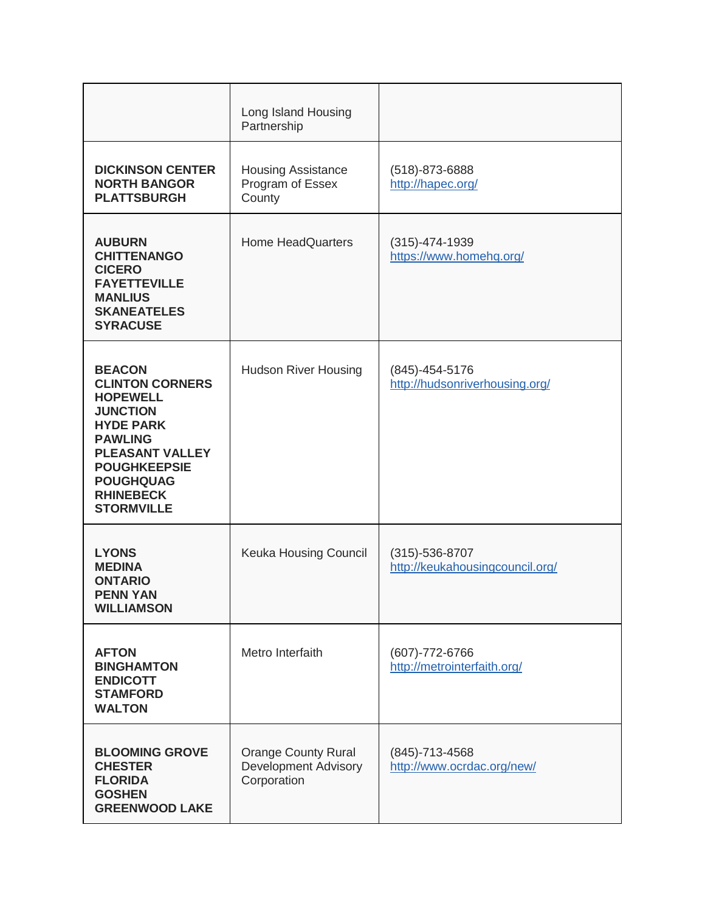|                                                                                                                                                                                                                                   | Long Island Housing<br>Partnership                                       |                                                     |
|-----------------------------------------------------------------------------------------------------------------------------------------------------------------------------------------------------------------------------------|--------------------------------------------------------------------------|-----------------------------------------------------|
| <b>DICKINSON CENTER</b><br><b>NORTH BANGOR</b><br><b>PLATTSBURGH</b>                                                                                                                                                              | <b>Housing Assistance</b><br>Program of Essex<br>County                  | $(518)-873-6888$<br>http://hapec.org/               |
| <b>AUBURN</b><br><b>CHITTENANGO</b><br><b>CICERO</b><br><b>FAYETTEVILLE</b><br><b>MANLIUS</b><br><b>SKANEATELES</b><br><b>SYRACUSE</b>                                                                                            | <b>Home HeadQuarters</b>                                                 | $(315)-474-1939$<br>https://www.homehq.org/         |
| <b>BEACON</b><br><b>CLINTON CORNERS</b><br><b>HOPEWELL</b><br><b>JUNCTION</b><br><b>HYDE PARK</b><br><b>PAWLING</b><br><b>PLEASANT VALLEY</b><br><b>POUGHKEEPSIE</b><br><b>POUGHQUAG</b><br><b>RHINEBECK</b><br><b>STORMVILLE</b> | <b>Hudson River Housing</b>                                              | (845)-454-5176<br>http://hudsonriverhousing.org/    |
| <b>LYONS</b><br><b>MEDINA</b><br><b>ONTARIO</b><br><b>PENN YAN</b><br><b>WILLIAMSON</b>                                                                                                                                           | Keuka Housing Council                                                    | $(315)-536-8707$<br>http://keukahousingcouncil.org/ |
| <b>AFTON</b><br><b>BINGHAMTON</b><br><b>ENDICOTT</b><br><b>STAMFORD</b><br><b>WALTON</b>                                                                                                                                          | Metro Interfaith                                                         | (607)-772-6766<br>http://metrointerfaith.org/       |
| <b>BLOOMING GROVE</b><br><b>CHESTER</b><br><b>FLORIDA</b><br><b>GOSHEN</b><br><b>GREENWOOD LAKE</b>                                                                                                                               | <b>Orange County Rural</b><br><b>Development Advisory</b><br>Corporation | (845)-713-4568<br>http://www.ocrdac.org/new/        |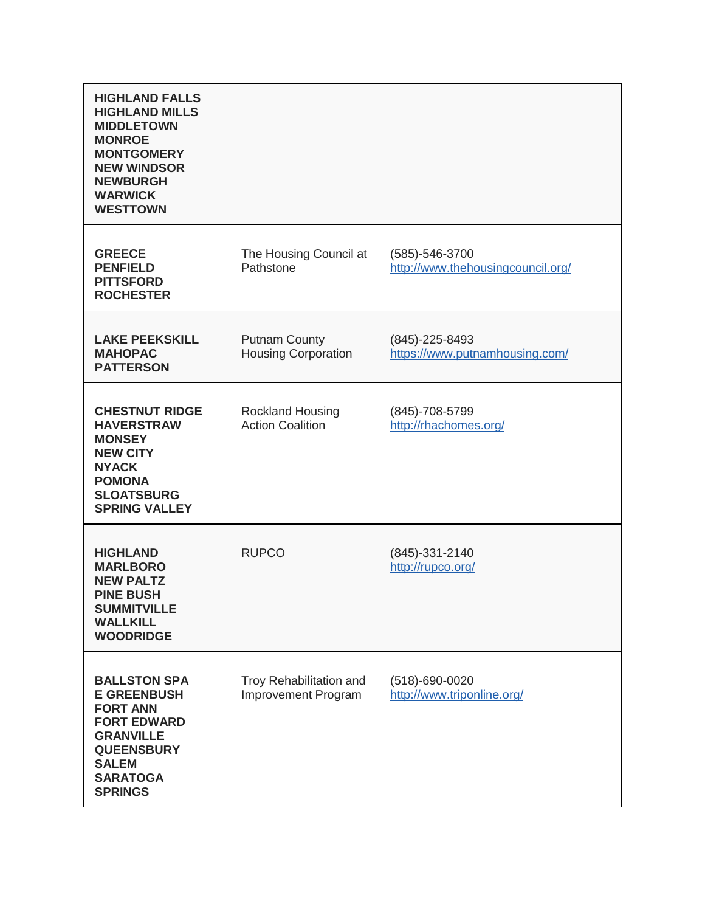| <b>HIGHLAND FALLS</b><br><b>HIGHLAND MILLS</b><br><b>MIDDLETOWN</b><br><b>MONROE</b><br><b>MONTGOMERY</b><br><b>NEW WINDSOR</b><br><b>NEWBURGH</b><br><b>WARWICK</b><br><b>WESTTOWN</b> |                                                    |                                                     |
|-----------------------------------------------------------------------------------------------------------------------------------------------------------------------------------------|----------------------------------------------------|-----------------------------------------------------|
| <b>GREECE</b><br><b>PENFIELD</b><br><b>PITTSFORD</b><br><b>ROCHESTER</b>                                                                                                                | The Housing Council at<br>Pathstone                | (585)-546-3700<br>http://www.thehousingcouncil.org/ |
| <b>LAKE PEEKSKILL</b><br><b>MAHOPAC</b><br><b>PATTERSON</b>                                                                                                                             | <b>Putnam County</b><br><b>Housing Corporation</b> | (845)-225-8493<br>https://www.putnamhousing.com/    |
| <b>CHESTNUT RIDGE</b><br><b>HAVERSTRAW</b><br><b>MONSEY</b><br><b>NEW CITY</b><br><b>NYACK</b><br><b>POMONA</b><br><b>SLOATSBURG</b><br><b>SPRING VALLEY</b>                            | <b>Rockland Housing</b><br><b>Action Coalition</b> | (845)-708-5799<br>http://rhachomes.org/             |
| <b>HIGHLAND</b><br><b>MARLBORO</b><br><b>NEW PALTZ</b><br><b>PINE BUSH</b><br><b>SUMMITVILLE</b><br><b>WALLKILL</b><br><b>WOODRIDGE</b>                                                 | <b>RUPCO</b>                                       | (845)-331-2140<br>http://rupco.org/                 |
| <b>BALLSTON SPA</b><br><b>E GREENBUSH</b><br><b>FORT ANN</b><br><b>FORT EDWARD</b><br><b>GRANVILLE</b><br><b>QUEENSBURY</b><br><b>SALEM</b><br><b>SARATOGA</b><br><b>SPRINGS</b>        | Troy Rehabilitation and<br>Improvement Program     | $(518)-690-0020$<br>http://www.triponline.org/      |